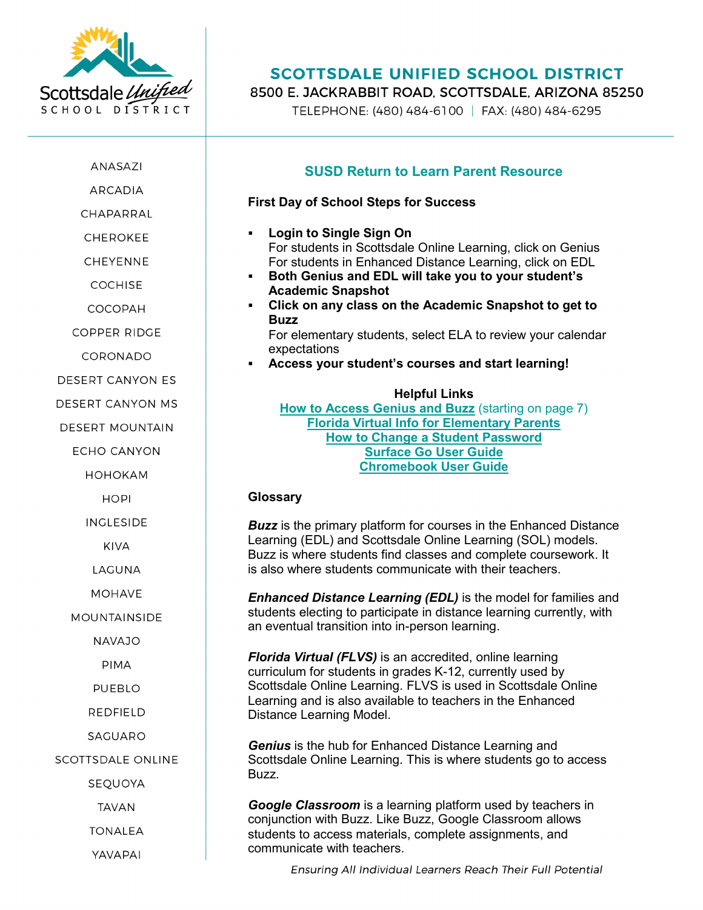

ANASAZI

**ARCADIA** 

CHAPARRAI

**CHEROKEE** 

**CHEYENNE** 

**COCHISE** 

COCOPAH

COPPER RIDGE

CORONADO

**DESERT CANYON ES** 

DESERT CANYON MS

**DESERT MOUNTAIN** 

**ECHO CANYON** 

**НОНОКАМ** 

**HOPI** 

**INGLESIDE** 

**KIVA** 

LAGUNA

**MOHAVE** 

**MOUNTAINSIDE** 

**NAVAJO** 

**PIMA** 

**PUEBLO** 

**REDFIELD** 

SAGUARO

SCOTTSDALE ONLINE

SEQUOYA

**TAVAN** 

**TONALEA** 

YAVAPAI

# **SCOTTSDALE UNIFIED SCHOOL DISTRICT**

8500 E. JACKRABBIT ROAD. SCOTTSDALE. ARIZONA 85250

TELEPHONE: (480) 484-6100 | FAX: (480) 484-6295

### **SUSD Return to Learn Parent Resource**

#### **First Day of School Steps for Success**

- **Login to Single Sign On** For students in Scottsdale Online Learning, click on Genius For students in Enhanced Distance Learning, click on EDL
- **Both Genius and EDL will take you to your student's Academic Snapshot**
- **Click on any class on the Academic Snapshot to get to Buzz**

For elementary students, select ELA to review your calendar expectations

**Access your student's courses and start learning!**

#### **Helpful Links**

**[How to Access Genius and Buzz](https://www.susd.org/site/handlers/filedownload.ashx?moduleinstanceid=5225&dataid=10371&FileName=Chromebook%20User%20Guide.pdf)** (starting on page 7) **Florida Virtual [Info for Elementary Parents](https://www.susd.org/cms/lib/AZ50000436/Centricity/Domain/381/flvsparentguide.pdf) [How to Change a Student Password](https://www.susd.org/Page/4441) [Surface Go User Guide](https://www.susd.org/site/handlers/filedownload.ashx?moduleinstanceid=5225&dataid=10372&FileName=Surface%20Go%20User%20Guide.pdf) [Chromebook User Guide](https://www.susd.org/site/handlers/filedownload.ashx?moduleinstanceid=5225&dataid=10371&FileName=Chromebook%20User%20Guide.pdf)**

#### **Glossary**

**Buzz** is the primary platform for courses in the Enhanced Distance Learning (EDL) and Scottsdale Online Learning (SOL) models. Buzz is where students find classes and complete coursework. It is also where students communicate with their teachers.

*Enhanced Distance Learning (EDL)* is the model for families and students electing to participate in distance learning currently, with an eventual transition into in-person learning.

*Florida Virtual (FLVS)* is an accredited, online learning curriculum for students in grades K-12, currently used by Scottsdale Online Learning. FLVS is used in Scottsdale Online Learning and is also available to teachers in the Enhanced Distance Learning Model.

*Genius* is the hub for Enhanced Distance Learning and Scottsdale Online Learning. This is where students go to access Buzz.

*Google Classroom* is a learning platform used by teachers in conjunction with Buzz. Like Buzz, Google Classroom allows students to access materials, complete assignments, and communicate with teachers.

Ensuring All Individual Learners Reach Their Full Potential